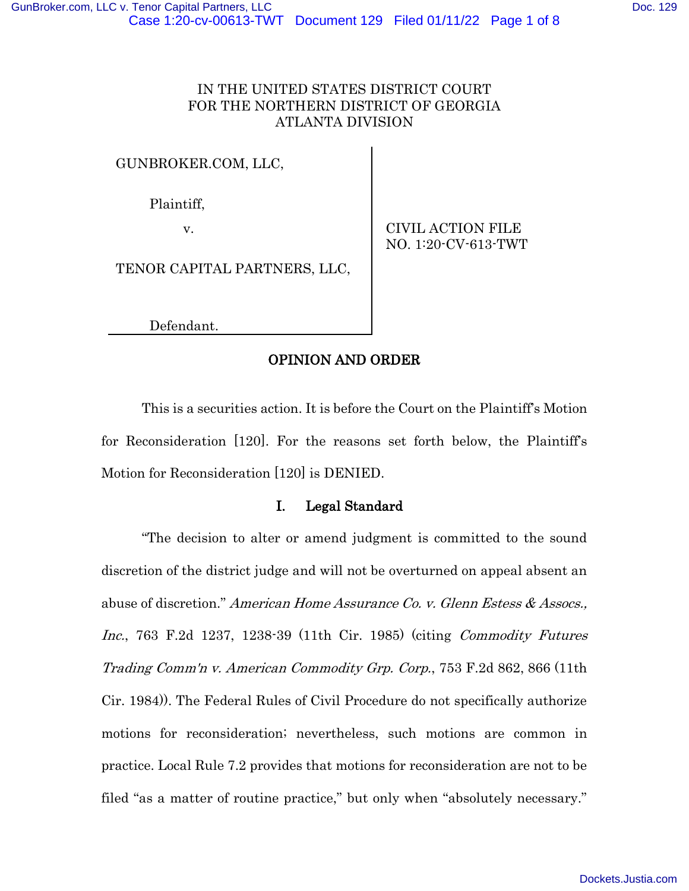## IN THE UNITED STATES DISTRICT COURT FOR THE NORTHERN DISTRICT OF GEORGIA ATLANTA DIVISION

## GUNBROKER.COM, LLC,

Plaintiff,

v. CIVIL ACTION FILE NO. 1:20-CV-613-TWT

TENOR CAPITAL PARTNERS, LLC,

Defendant.

## OPINION AND ORDER

This is a securities action. It is before the Court on the Plaintiff's Motion for Reconsideration [120]. For the reasons set forth below, the Plaintiff's Motion for Reconsideration [120] is DENIED.

## I. Legal Standard

"The decision to alter or amend judgment is committed to the sound discretion of the district judge and will not be overturned on appeal absent an abuse of discretion." American Home Assurance Co. v. Glenn Estess & Assocs., Inc., 763 F.2d 1237, 1238-39 (11th Cir. 1985) (citing Commodity Futures Trading Comm'n v. American Commodity Grp. Corp., 753 F.2d 862, 866 (11th Cir. 1984)). The Federal Rules of Civil Procedure do not specifically authorize motions for reconsideration; nevertheless, such motions are common in practice. Local Rule 7.2 provides that motions for reconsideration are not to be filed "as a matter of routine practice," but only when "absolutely necessary."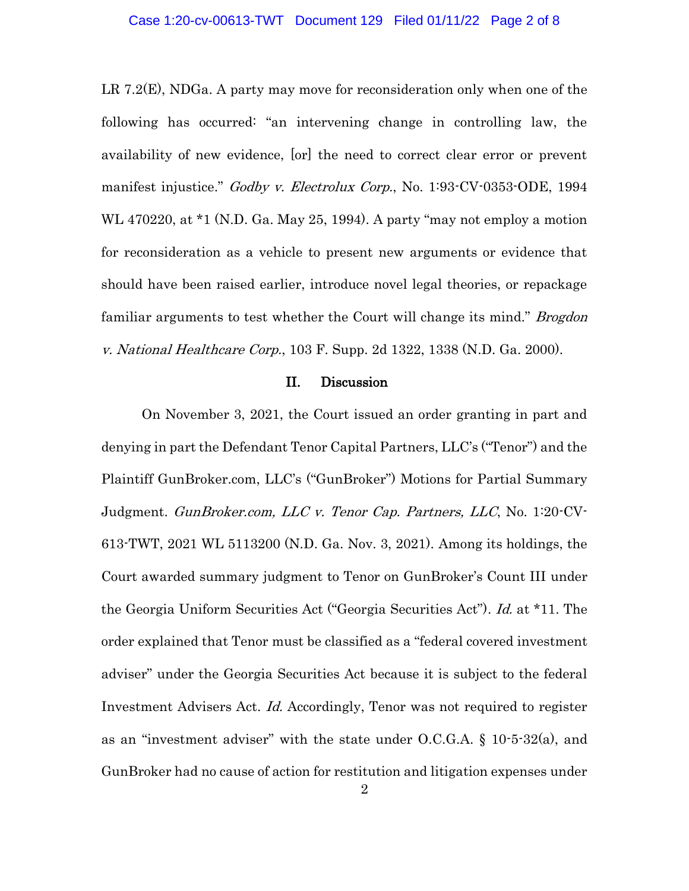LR 7.2(E), NDGa. A party may move for reconsideration only when one of the following has occurred: "an intervening change in controlling law, the availability of new evidence, [or] the need to correct clear error or prevent manifest injustice." Godby v. Electrolux Corp., No. 1:93-CV-0353-ODE, 1994 WL 470220, at \*1 (N.D. Ga. May 25, 1994). A party "may not employ a motion for reconsideration as a vehicle to present new arguments or evidence that should have been raised earlier, introduce novel legal theories, or repackage familiar arguments to test whether the Court will change its mind." *Brogdon* v. National Healthcare Corp., 103 F. Supp. 2d 1322, 1338 (N.D. Ga. 2000).

#### II. Discussion

On November 3, 2021, the Court issued an order granting in part and denying in part the Defendant Tenor Capital Partners, LLC's ("Tenor") and the Plaintiff GunBroker.com, LLC's ("GunBroker") Motions for Partial Summary Judgment. GunBroker.com, LLC v. Tenor Cap. Partners, LLC, No. 1:20-CV-613-TWT, 2021 WL 5113200 (N.D. Ga. Nov. 3, 2021). Among its holdings, the Court awarded summary judgment to Tenor on GunBroker's Count III under the Georgia Uniform Securities Act ("Georgia Securities Act"). Id. at \*11. The order explained that Tenor must be classified as a "federal covered investment adviser" under the Georgia Securities Act because it is subject to the federal Investment Advisers Act. Id. Accordingly, Tenor was not required to register as an "investment adviser" with the state under O.C.G.A. § 10-5-32(a), and GunBroker had no cause of action for restitution and litigation expenses under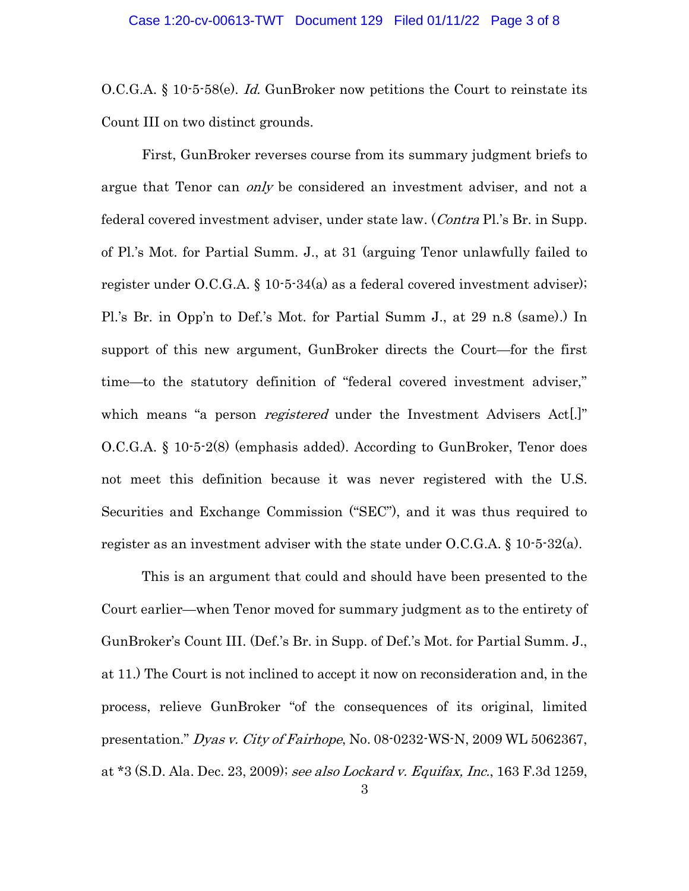O.C.G.A. § 10-5-58(e). Id. GunBroker now petitions the Court to reinstate its Count III on two distinct grounds.

First, GunBroker reverses course from its summary judgment briefs to argue that Tenor can *only* be considered an investment adviser, and not a federal covered investment adviser, under state law. (Contra Pl.'s Br. in Supp. of Pl.'s Mot. for Partial Summ. J., at 31 (arguing Tenor unlawfully failed to register under O.C.G.A. § 10-5-34(a) as a federal covered investment adviser); Pl.'s Br. in Opp'n to Def.'s Mot. for Partial Summ J., at 29 n.8 (same).) In support of this new argument, GunBroker directs the Court—for the first time—to the statutory definition of "federal covered investment adviser," which means "a person *registered* under the Investment Advisers Act.]" O.C.G.A. § 10-5-2(8) (emphasis added). According to GunBroker, Tenor does not meet this definition because it was never registered with the U.S. Securities and Exchange Commission ("SEC"), and it was thus required to register as an investment adviser with the state under  $O.C.G.A. \S 10 \cdot 5 \cdot 32(a)$ .

This is an argument that could and should have been presented to the Court earlier—when Tenor moved for summary judgment as to the entirety of GunBroker's Count III. (Def.'s Br. in Supp. of Def.'s Mot. for Partial Summ. J., at 11.) The Court is not inclined to accept it now on reconsideration and, in the process, relieve GunBroker "of the consequences of its original, limited presentation." Dyas v. City of Fairhope, No. 08-0232-WS-N, 2009 WL 5062367, at \*3 (S.D. Ala. Dec. 23, 2009); see also Lockard v. Equifax, Inc., 163 F.3d 1259,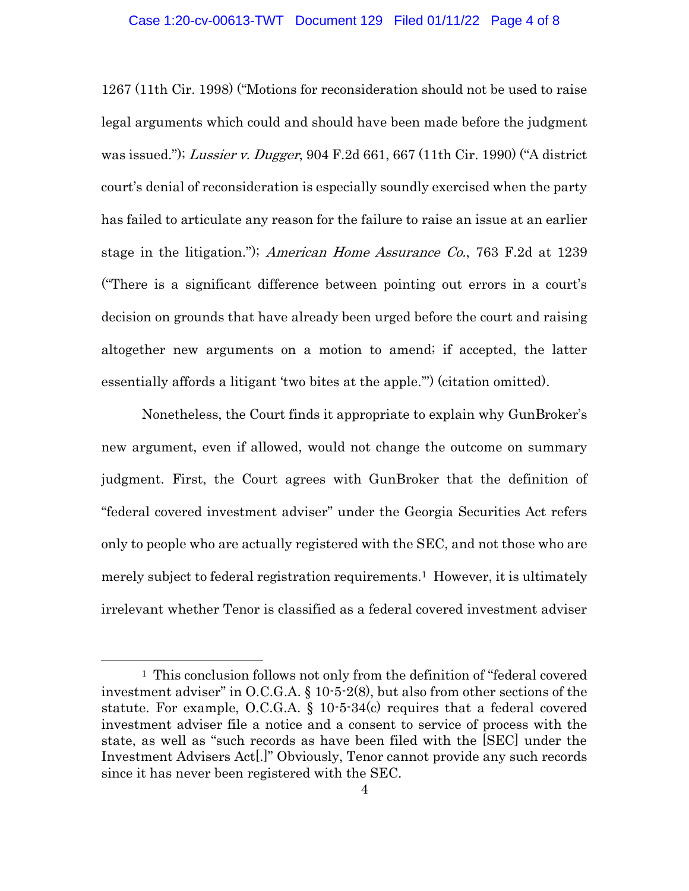1267 (11th Cir. 1998) ("Motions for reconsideration should not be used to raise legal arguments which could and should have been made before the judgment was issued."); Lussier v. Dugger, 904 F.2d 661, 667 (11th Cir. 1990) ("A district court's denial of reconsideration is especially soundly exercised when the party has failed to articulate any reason for the failure to raise an issue at an earlier stage in the litigation."); American Home Assurance Co., 763 F.2d at 1239 ("There is a significant difference between pointing out errors in a court's decision on grounds that have already been urged before the court and raising altogether new arguments on a motion to amend; if accepted, the latter essentially affords a litigant 'two bites at the apple.'") (citation omitted).

Nonetheless, the Court finds it appropriate to explain why GunBroker's new argument, even if allowed, would not change the outcome on summary judgment. First, the Court agrees with GunBroker that the definition of "federal covered investment adviser" under the Georgia Securities Act refers only to people who are actually registered with the SEC, and not those who are merely subject to federal registration requirements.1 However, it is ultimately irrelevant whether Tenor is classified as a federal covered investment adviser

<sup>&</sup>lt;sup>1</sup> This conclusion follows not only from the definition of "federal covered" investment adviser" in O.C.G.A. § 10-5-2(8), but also from other sections of the statute. For example, O.C.G.A.  $\S$  10-5-34(c) requires that a federal covered investment adviser file a notice and a consent to service of process with the state, as well as "such records as have been filed with the [SEC] under the Investment Advisers Act[.]" Obviously, Tenor cannot provide any such records since it has never been registered with the SEC.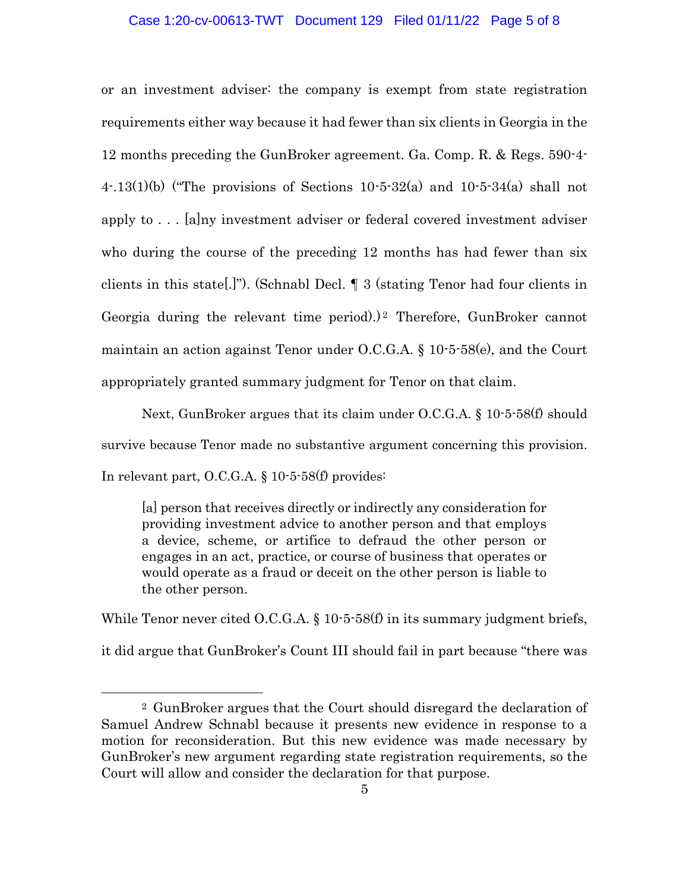#### Case 1:20-cv-00613-TWT Document 129 Filed 01/11/22 Page 5 of 8

or an investment adviser: the company is exempt from state registration requirements either way because it had fewer than six clients in Georgia in the 12 months preceding the GunBroker agreement. Ga. Comp. R. & Regs. 590-4- 4.13(1)(b) ("The provisions of Sections  $10-5-32(a)$  and  $10-5-34(a)$  shall not apply to . . . [a]ny investment adviser or federal covered investment adviser who during the course of the preceding 12 months has had fewer than six clients in this state[.]"). (Schnabl Decl. ¶ 3 (stating Tenor had four clients in Georgia during the relevant time period).)<sup>2</sup> Therefore, GunBroker cannot maintain an action against Tenor under O.C.G.A. § 10-5-58(e), and the Court appropriately granted summary judgment for Tenor on that claim.

Next, GunBroker argues that its claim under O.C.G.A. § 10-5-58(f) should survive because Tenor made no substantive argument concerning this provision. In relevant part, O.C.G.A. § 10-5-58(f) provides:

[a] person that receives directly or indirectly any consideration for providing investment advice to another person and that employs a device, scheme, or artifice to defraud the other person or engages in an act, practice, or course of business that operates or would operate as a fraud or deceit on the other person is liable to the other person.

While Tenor never cited O.C.G.A. § 10-5-58(f) in its summary judgment briefs, it did argue that GunBroker's Count III should fail in part because "there was

<sup>2</sup> GunBroker argues that the Court should disregard the declaration of Samuel Andrew Schnabl because it presents new evidence in response to a motion for reconsideration. But this new evidence was made necessary by GunBroker's new argument regarding state registration requirements, so the Court will allow and consider the declaration for that purpose.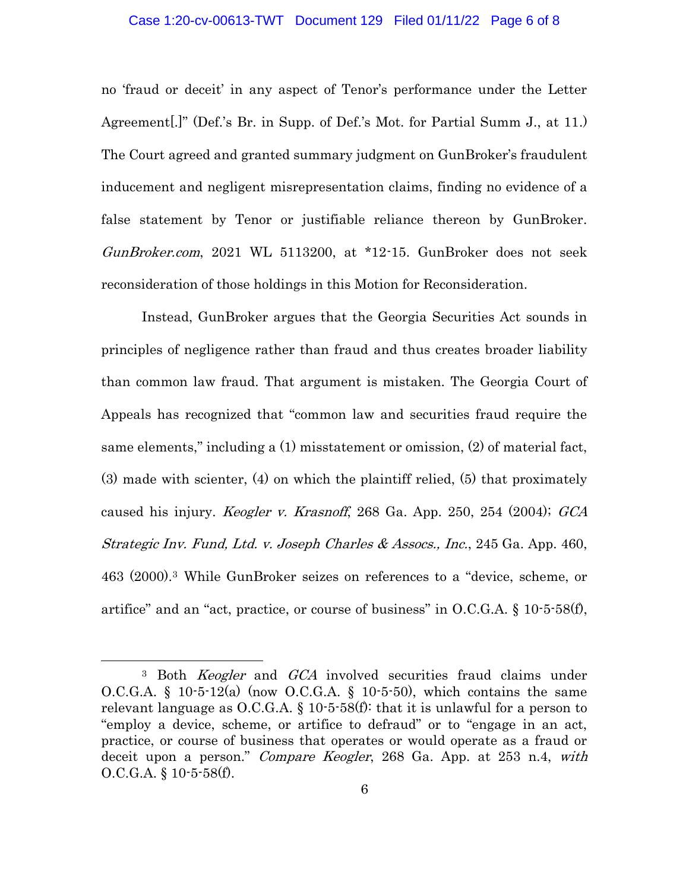#### Case 1:20-cv-00613-TWT Document 129 Filed 01/11/22 Page 6 of 8

no 'fraud or deceit' in any aspect of Tenor's performance under the Letter Agreement[.]" (Def.'s Br. in Supp. of Def.'s Mot. for Partial Summ J., at 11.) The Court agreed and granted summary judgment on GunBroker's fraudulent inducement and negligent misrepresentation claims, finding no evidence of a false statement by Tenor or justifiable reliance thereon by GunBroker. GunBroker.com, 2021 WL 5113200, at \*12-15. GunBroker does not seek reconsideration of those holdings in this Motion for Reconsideration.

Instead, GunBroker argues that the Georgia Securities Act sounds in principles of negligence rather than fraud and thus creates broader liability than common law fraud. That argument is mistaken. The Georgia Court of Appeals has recognized that "common law and securities fraud require the same elements," including a (1) misstatement or omission, (2) of material fact, (3) made with scienter, (4) on which the plaintiff relied, (5) that proximately caused his injury. *Keogler v. Krasnoff*, 268 Ga. App. 250, 254 (2004); GCA Strategic Inv. Fund, Ltd. v. Joseph Charles & Assocs., Inc., 245 Ga. App. 460, 463 (2000).3 While GunBroker seizes on references to a "device, scheme, or artifice" and an "act, practice, or course of business" in  $O.C.G.A. \S 10-5-58(f)$ ,

<sup>&</sup>lt;sup>3</sup> Both *Keogler* and *GCA* involved securities fraud claims under O.C.G.A. § 10-5-12(a) (now O.C.G.A. § 10-5-50), which contains the same relevant language as  $O.C.G.A. \S 10-5-58(f)$ : that it is unlawful for a person to "employ a device, scheme, or artifice to defraud" or to "engage in an act, practice, or course of business that operates or would operate as a fraud or deceit upon a person." Compare Keogler, 268 Ga. App. at 253 n.4, with  $O.C.G.A. \S 10-5-58(f).$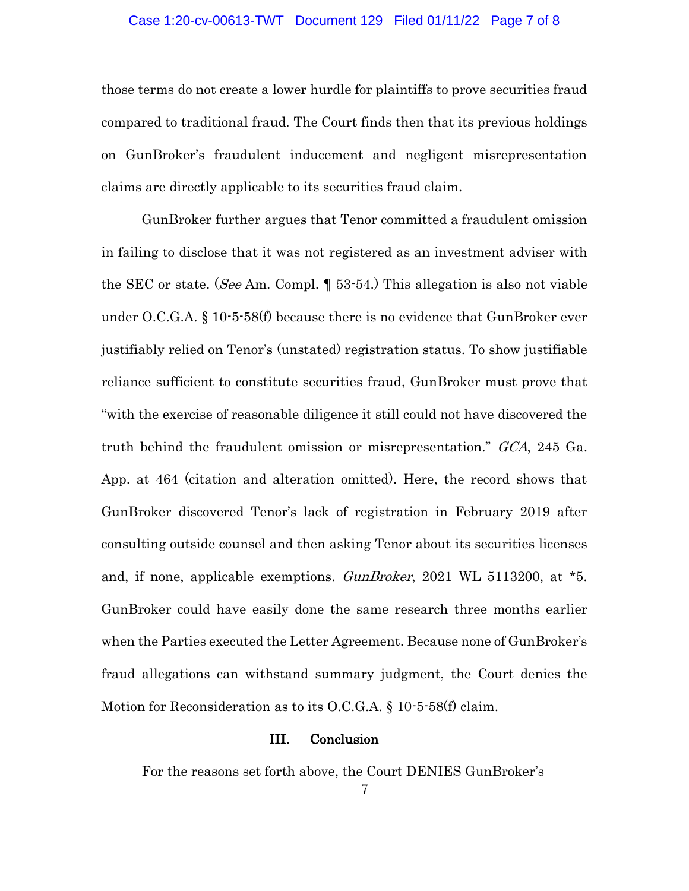#### Case 1:20-cv-00613-TWT Document 129 Filed 01/11/22 Page 7 of 8

those terms do not create a lower hurdle for plaintiffs to prove securities fraud compared to traditional fraud. The Court finds then that its previous holdings on GunBroker's fraudulent inducement and negligent misrepresentation claims are directly applicable to its securities fraud claim.

GunBroker further argues that Tenor committed a fraudulent omission in failing to disclose that it was not registered as an investment adviser with the SEC or state. (*See* Am. Compl. 1 53-54.) This allegation is also not viable under O.C.G.A.  $\S 10$ -5-58(f) because there is no evidence that GunBroker ever justifiably relied on Tenor's (unstated) registration status. To show justifiable reliance sufficient to constitute securities fraud, GunBroker must prove that "with the exercise of reasonable diligence it still could not have discovered the truth behind the fraudulent omission or misrepresentation." GCA, 245 Ga. App. at 464 (citation and alteration omitted). Here, the record shows that GunBroker discovered Tenor's lack of registration in February 2019 after consulting outside counsel and then asking Tenor about its securities licenses and, if none, applicable exemptions. *GunBroker*, 2021 WL 5113200, at \*5. GunBroker could have easily done the same research three months earlier when the Parties executed the Letter Agreement. Because none of GunBroker's fraud allegations can withstand summary judgment, the Court denies the Motion for Reconsideration as to its O.C.G.A. § 10-5-58(f) claim.

## III. Conclusion

For the reasons set forth above, the Court DENIES GunBroker's